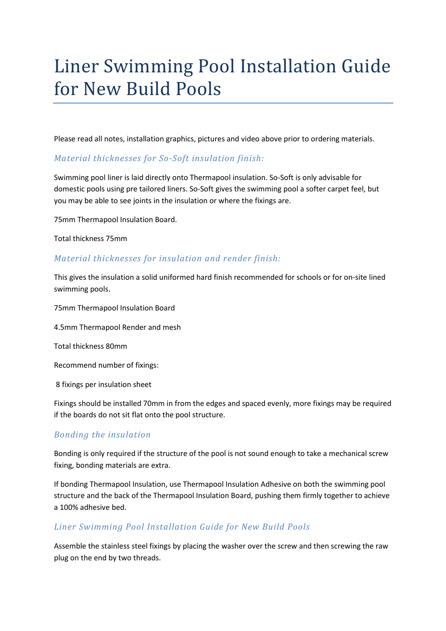# Liner Swimming Pool Installation Guide for New Build Pools

Please read all notes, installation graphics, pictures and video above prior to ordering materials.

### Material thicknesses for So-Soft insulation finish:

Swimming pool liner is laid directly onto Thermapool insulation. So-Soft is only advisable for domestic pools using pre tailored liners. So-Soft gives the swimming pool a softer carpet feel, but you may be able to see joints in the insulation or where the fixings are.

75mm Thermapool Insulation Board.

Total thickness 75mm

### Material thicknesses for insulation and render finish:

This gives the insulation a solid uniformed hard finish recommended for schools or for on-site lined swimming pools.

75mm Thermapool Insulation Board

4.5mm Thermapool Render and mesh

Total thickness 80mm

Recommend number of fixings:

8 fixings per insulation sheet

Fixings should be installed 70mm in from the edges and spaced evenly, more fixings may be required if the boards do not sit flat onto the pool structure.

## Bonding the insulation

Bonding is only required if the structure of the pool is not sound enough to take a mechanical screw fixing, bonding materials are extra.

If bonding Thermapool Insulation, use Thermapool Insulation Adhesive on both the swimming pool structure and the back of the Thermapool Insulation Board, pushing them firmly together to achieve a 100% adhesive bed.

## Liner Swimming Pool Installation Guide for New Build Pools

Assemble the stainless steel fixings by placing the washer over the screw and then screwing the raw plug on the end by two threads.